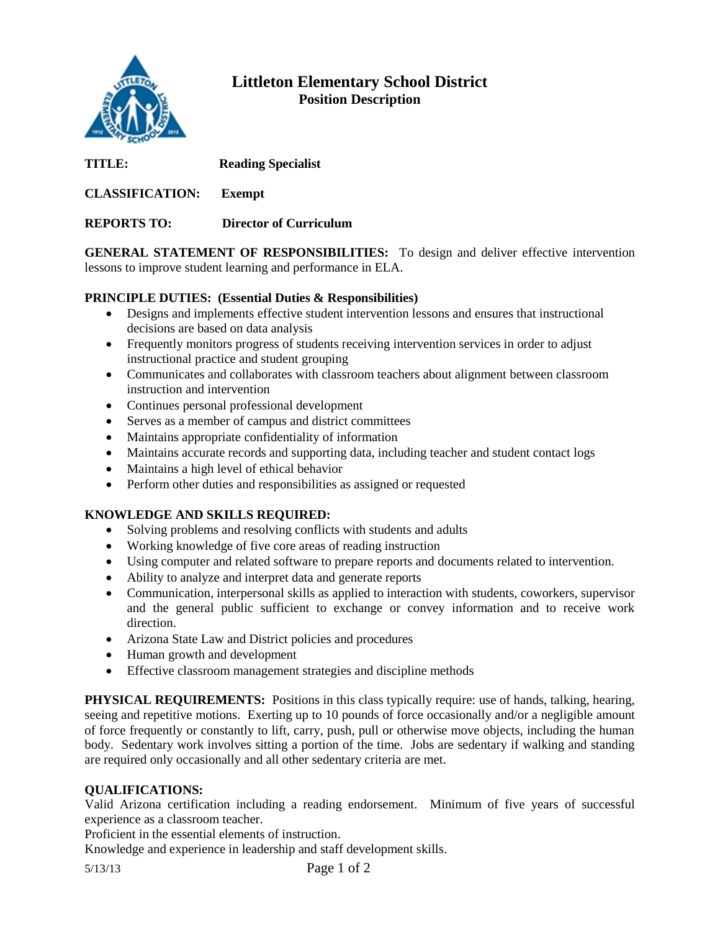

## **Littleton Elementary School District Position Description**

| TITLE:                 | <b>Reading Specialist</b>     |
|------------------------|-------------------------------|
| <b>CLASSIFICATION:</b> | Exempt                        |
| <b>REPORTS TO:</b>     | <b>Director of Curriculum</b> |

**GENERAL STATEMENT OF RESPONSIBILITIES:** To design and deliver effective intervention lessons to improve student learning and performance in ELA.

## **PRINCIPLE DUTIES: (Essential Duties & Responsibilities)**

- Designs and implements effective student intervention lessons and ensures that instructional decisions are based on data analysis
- Frequently monitors progress of students receiving intervention services in order to adjust instructional practice and student grouping
- Communicates and collaborates with classroom teachers about alignment between classroom instruction and intervention
- Continues personal professional development
- Serves as a member of campus and district committees
- Maintains appropriate confidentiality of information
- Maintains accurate records and supporting data, including teacher and student contact logs
- Maintains a high level of ethical behavior
- Perform other duties and responsibilities as assigned or requested

## **KNOWLEDGE AND SKILLS REQUIRED:**

- Solving problems and resolving conflicts with students and adults
- Working knowledge of five core areas of reading instruction
- Using computer and related software to prepare reports and documents related to intervention.
- Ability to analyze and interpret data and generate reports
- Communication, interpersonal skills as applied to interaction with students, coworkers, supervisor and the general public sufficient to exchange or convey information and to receive work direction.
- Arizona State Law and District policies and procedures
- Human growth and development
- Effective classroom management strategies and discipline methods

**PHYSICAL REQUIREMENTS:** Positions in this class typically require: use of hands, talking, hearing, seeing and repetitive motions. Exerting up to 10 pounds of force occasionally and/or a negligible amount of force frequently or constantly to lift, carry, push, pull or otherwise move objects, including the human body. Sedentary work involves sitting a portion of the time. Jobs are sedentary if walking and standing are required only occasionally and all other sedentary criteria are met.

## **QUALIFICATIONS:**

Valid Arizona certification including a reading endorsement. Minimum of five years of successful experience as a classroom teacher.

Proficient in the essential elements of instruction.

Knowledge and experience in leadership and staff development skills.